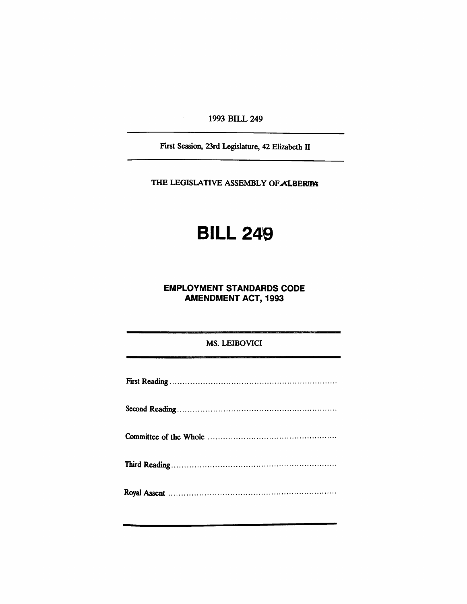1993 BILL 249

First Session, 23rd Legislature, 42 Elizabeth II

THE LEGISLATIVE ASSEMBLY OF ALBERIPA

# BILL 249

## EMPLOYMENT STANDARDS CODE AMENDMENT ACT, 1993

### MS. LEIBOVICI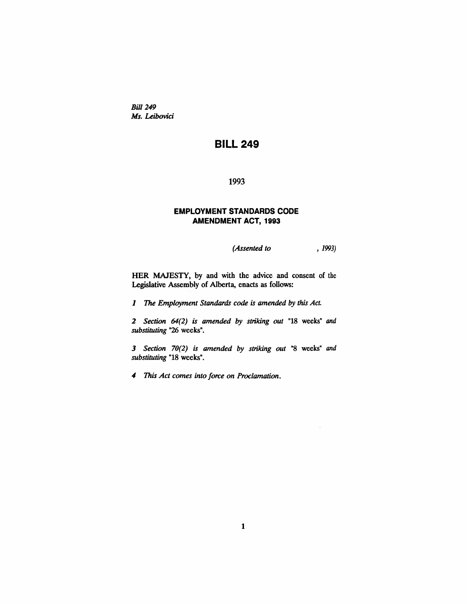*Bill* 249 *Ms. Leibovici*

## **BILL** 249

1993

#### EMPLOYMENT STANDARDS CODE AMENDMENT ACT, 1993

*(Assented to* , 1993)

HER MAJESTY, by and with the advice and consent of the Legislative Assembly of Alberta, enacts as follows:

1 The *Employment Standards code is amended by this Act.*

*2 Section* 64(2) *is amended by striking out* "18 weeks" and *substituting* "26 weeks".

*3 Section 70(2) is amended by striking out* "8 weeks" and *substituting* "18 weeks".

*4 This Act comes into force on Proclamation.*